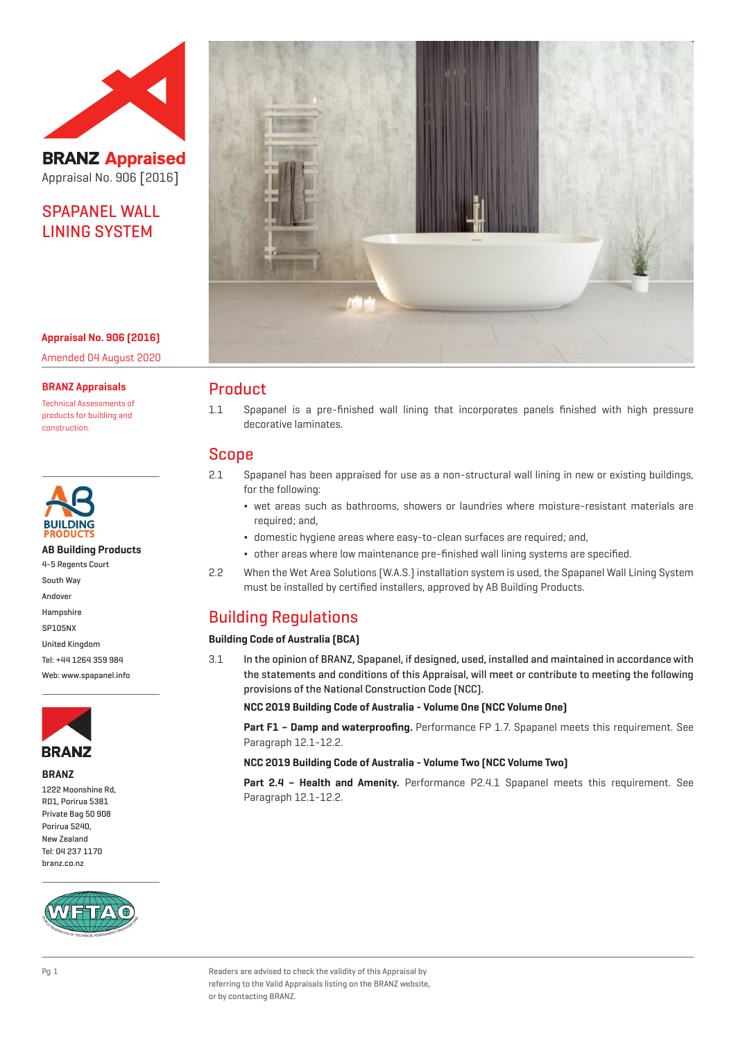

**BRANZ Appraised** Appraisal No. 906 [2016]

## SPAPANEL WALL LINING SYSTEM

**Appraisal No. 906 (2016)** Amended 04 August 2020

#### **BRANZ Appraisals**

Technical Assessments of products for building and construction.



**AB Building Products**

- 4-5 Regents Court
- South Way
- Andover
- Hampshire
- SP105NX United Kingdom
- Tel: +44 1264 359 984

Web: www.spapanel.info



#### **BRANZ**

1222 Moonshine Rd, RD1, Porirua 5381 Private Bag 50 908 Porirua 5240, New Zealand Tel: 04 237 1170 branz.co.nz





### Product

1.1 Spapanel is a pre-finished wall lining that incorporates panels finished with high pressure decorative laminates.

## Scope

- 2.1 Spapanel has been appraised for use as a non-structural wall lining in new or existing buildings, for the following:
	- ¬ wet areas such as bathrooms, showers or laundries where moisture-resistant materials are required; and,
	- ¬ domestic hygiene areas where easy-to-clean surfaces are required; and,
	- ¬ other areas where low maintenance pre-finished wall lining systems are specified.
- 2.2 When the Wet Area Solutions (W.A.S.) installation system is used, the Spapanel Wall Lining System must be installed by certified installers, approved by AB Building Products.

## Building Regulations

#### **Building Code of Australia (BCA)**

3.1 In the opinion of BRANZ, Spapanel, if designed, used, installed and maintained in accordance with the statements and conditions of this Appraisal, will meet or contribute to meeting the following provisions of the National Construction Code (NCC).

**NCC 2019 Building Code of Australia - Volume One (NCC Volume One)**

**Part F1 – Damp and waterproofing.** Performance FP 1.7. Spapanel meets this requirement. See Paragraph 12.1-12.2.

**NCC 2019 Building Code of Australia - Volume Two (NCC Volume Two)**

**Part 2.4 – Health and Amenity.** Performance P2.4.1 Spapanel meets this requirement. See Paragraph 12.1-12.2.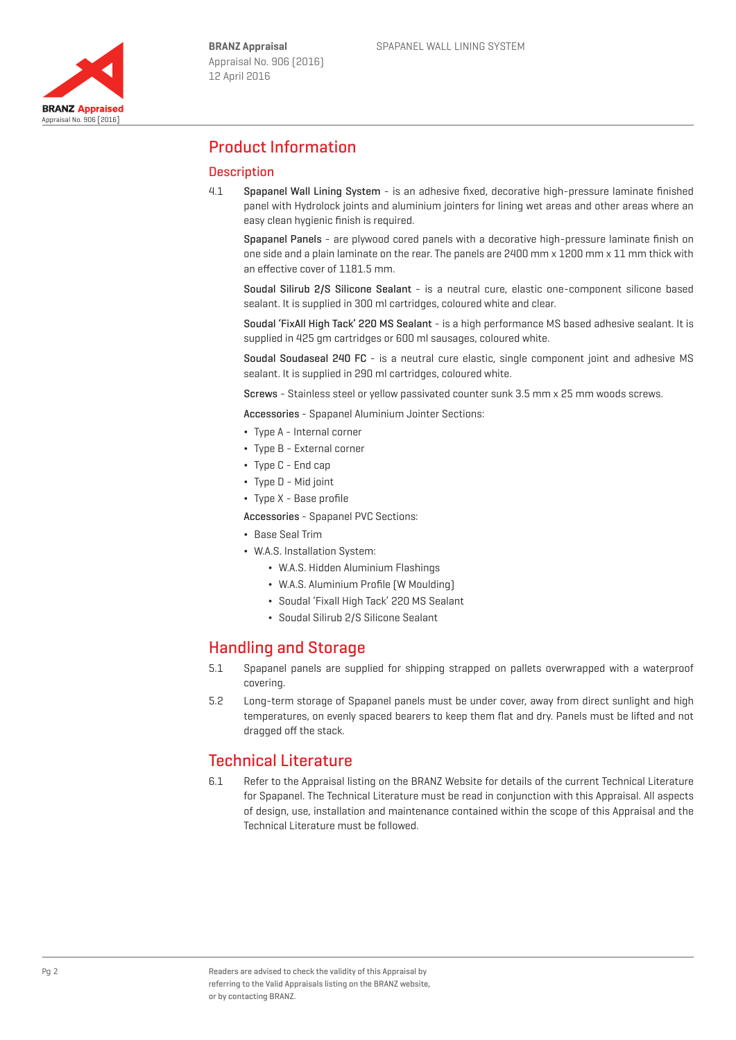

## Product Information

### **Description**

4.1 Spapanel Wall Lining System - is an adhesive fixed, decorative high-pressure laminate finished panel with Hydrolock joints and aluminium jointers for lining wet areas and other areas where an easy clean hygienic finish is required.

Spapanel Panels - are plywood cored panels with a decorative high-pressure laminate finish on one side and a plain laminate on the rear. The panels are 2400 mm x 1200 mm x 11 mm thick with an effective cover of 1181.5 mm.

Soudal Silirub 2/S Silicone Sealant - is a neutral cure, elastic one-component silicone based sealant. It is supplied in 300 ml cartridges, coloured white and clear.

Soudal 'FixAll High Tack' 220 MS Sealant - is a high performance MS based adhesive sealant. It is supplied in 425 gm cartridges or 600 ml sausages, coloured white.

Soudal Soudaseal 240 FC - is a neutral cure elastic, single component joint and adhesive MS sealant. It is supplied in 290 ml cartridges, coloured white.

Screws - Stainless steel or yellow passivated counter sunk 3.5 mm x 25 mm woods screws.

Accessories - Spapanel Aluminium Jointer Sections:

- ¬ Type A Internal corner
- ¬ Type B External corner
- ¬ Type C End cap
- Type D Mid joint
- ¬ Type X Base profile
- Accessories Spapanel PVC Sections:
- ¬ Base Seal Trim
- ¬ W.A.S. Installation System:
	- ¬ W.A.S. Hidden Aluminium Flashings
	- ¬ W.A.S. Aluminium Profile (W Moulding)
	- ¬ Soudal 'Fixall High Tack' 220 MS Sealant
	- ¬ Soudal Silirub 2/S Silicone Sealant

## Handling and Storage

- 5.1 Spapanel panels are supplied for shipping strapped on pallets overwrapped with a waterproof covering.
- 5.2 Long-term storage of Spapanel panels must be under cover, away from direct sunlight and high temperatures, on evenly spaced bearers to keep them flat and dry. Panels must be lifted and not dragged off the stack.

## Technical Literature

6.1 Refer to the Appraisal listing on the BRANZ Website for details of the current Technical Literature for Spapanel. The Technical Literature must be read in conjunction with this Appraisal. All aspects of design, use, installation and maintenance contained within the scope of this Appraisal and the Technical Literature must be followed.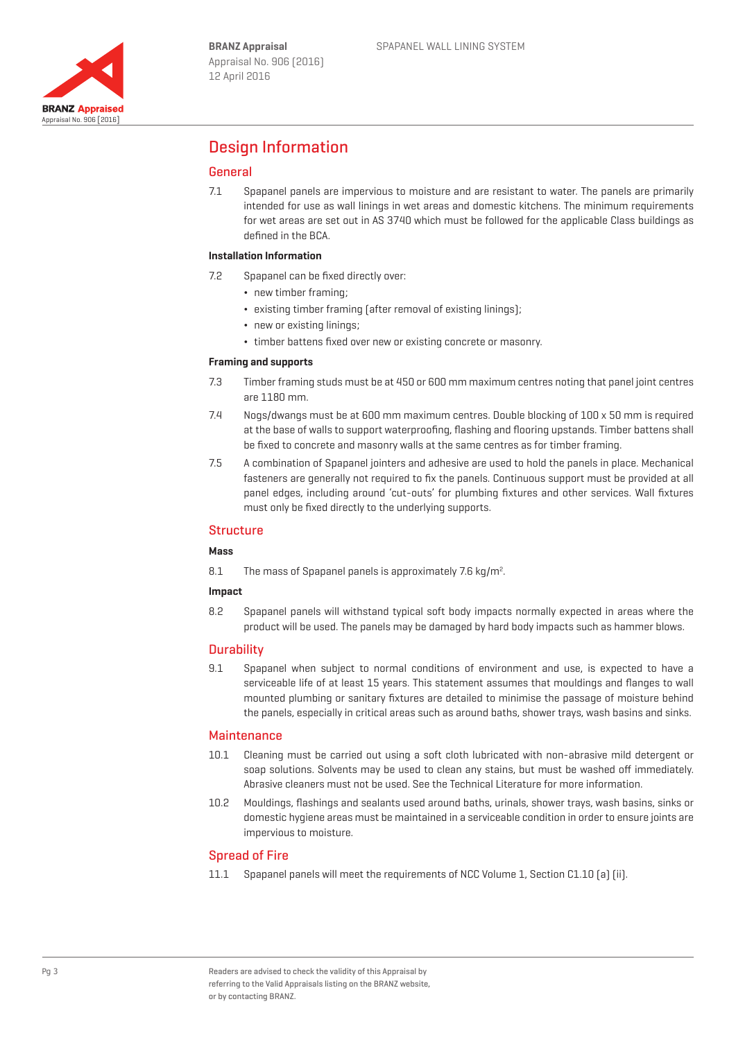## Design Information

### General

7.1 Spapanel panels are impervious to moisture and are resistant to water. The panels are primarily intended for use as wall linings in wet areas and domestic kitchens. The minimum requirements for wet areas are set out in AS 3740 which must be followed for the applicable Class buildings as defined in the BCA.

#### **Installation Information**

- 7.2 Spapanel can be fixed directly over:
	- new timber framing;
	- existing timber framing (after removal of existing linings);
	- new or existing linings;
	- ¬ timber battens fixed over new or existing concrete or masonry.

#### **Framing and supports**

- 7.3 Timber framing studs must be at 450 or 600 mm maximum centres noting that panel joint centres are 1180 mm.
- 7.4 Nogs/dwangs must be at 600 mm maximum centres. Double blocking of 100 x 50 mm is required at the base of walls to support waterproofing, flashing and flooring upstands. Timber battens shall be fixed to concrete and masonry walls at the same centres as for timber framing.
- 7.5 A combination of Spapanel jointers and adhesive are used to hold the panels in place. Mechanical fasteners are generally not required to fix the panels. Continuous support must be provided at all panel edges, including around 'cut-outs' for plumbing fixtures and other services. Wall fixtures must only be fixed directly to the underlying supports.

#### **Structure**

#### **Mass**

8.1 The mass of Spapanel panels is approximately 7.6 kg/m<sup>2</sup>.

#### **Impact**

8.2 Spapanel panels will withstand typical soft body impacts normally expected in areas where the product will be used. The panels may be damaged by hard body impacts such as hammer blows.

#### **Durability**

9.1 Spapanel when subject to normal conditions of environment and use, is expected to have a serviceable life of at least 15 years. This statement assumes that mouldings and flanges to wall mounted plumbing or sanitary fixtures are detailed to minimise the passage of moisture behind the panels, especially in critical areas such as around baths, shower trays, wash basins and sinks.

#### Maintenance

- 10.1 Cleaning must be carried out using a soft cloth lubricated with non-abrasive mild detergent or soap solutions. Solvents may be used to clean any stains, but must be washed off immediately. Abrasive cleaners must not be used. See the Technical Literature for more information.
- 10.2 Mouldings, flashings and sealants used around baths, urinals, shower trays, wash basins, sinks or domestic hygiene areas must be maintained in a serviceable condition in order to ensure joints are impervious to moisture.

#### Spread of Fire

11.1 Spapanel panels will meet the requirements of NCC Volume 1, Section C1.10 (a) (ii).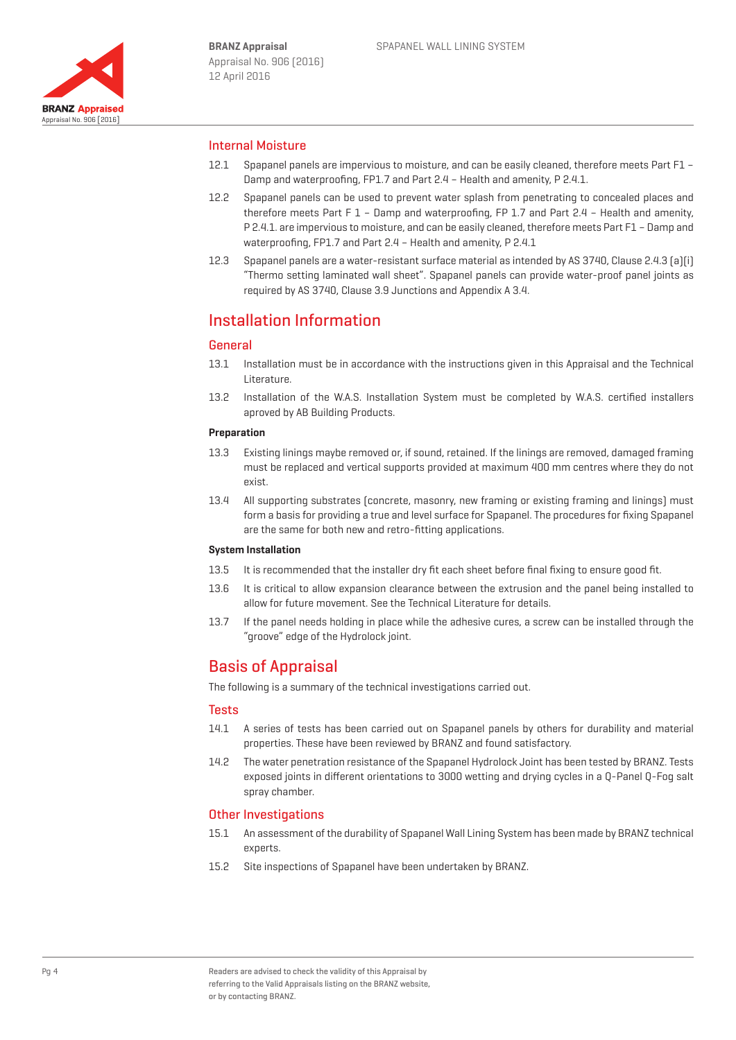

#### Internal Moisture

- 12.1 Spapanel panels are impervious to moisture, and can be easily cleaned, therefore meets Part F1 Damp and waterproofing, FP1.7 and Part 2.4 – Health and amenity, P 2.4.1.
- 12.2 Spapanel panels can be used to prevent water splash from penetrating to concealed places and therefore meets Part F 1 – Damp and waterproofing, FP 1.7 and Part 2.4 – Health and amenity, P 2.4.1. are impervious to moisture, and can be easily cleaned, therefore meets Part F1 – Damp and waterproofing, FP1.7 and Part 2.4 – Health and amenity, P 2.4.1
- 12.3 Spapanel panels are a water-resistant surface material as intended by AS 3740, Clause 2.4.3 (a)(i) "Thermo setting laminated wall sheet". Spapanel panels can provide water-proof panel joints as required by AS 3740, Clause 3.9 Junctions and Appendix A 3.4.

## Installation Information

### **General**

- 13.1 Installation must be in accordance with the instructions given in this Appraisal and the Technical Literature.
- 13.2 Installation of the W.A.S. Installation System must be completed by W.A.S. certified installers aproved by AB Building Products.

#### **Preparation**

- 13.3 Existing linings maybe removed or, if sound, retained. If the linings are removed, damaged framing must be replaced and vertical supports provided at maximum 400 mm centres where they do not exist.
- 13.4 All supporting substrates (concrete, masonry, new framing or existing framing and linings) must form a basis for providing a true and level surface for Spapanel. The procedures for fixing Spapanel are the same for both new and retro-fitting applications.

#### **System Installation**

- 13.5 It is recommended that the installer dry fit each sheet before final fixing to ensure good fit.
- 13.6 It is critical to allow expansion clearance between the extrusion and the panel being installed to allow for future movement. See the Technical Literature for details.
- 13.7 If the panel needs holding in place while the adhesive cures, a screw can be installed through the "groove" edge of the Hydrolock joint.

## Basis of Appraisal

The following is a summary of the technical investigations carried out.

#### **Tests**

- 14.1 A series of tests has been carried out on Spapanel panels by others for durability and material properties. These have been reviewed by BRANZ and found satisfactory.
- 14.2 The water penetration resistance of the Spapanel Hydrolock Joint has been tested by BRANZ. Tests exposed joints in different orientations to 3000 wetting and drying cycles in a Q-Panel Q-Fog salt spray chamber.

#### Other Investigations

- 15.1 An assessment of the durability of Spapanel Wall Lining System has been made by BRANZ technical experts.
- 15.2 Site inspections of Spapanel have been undertaken by BRANZ.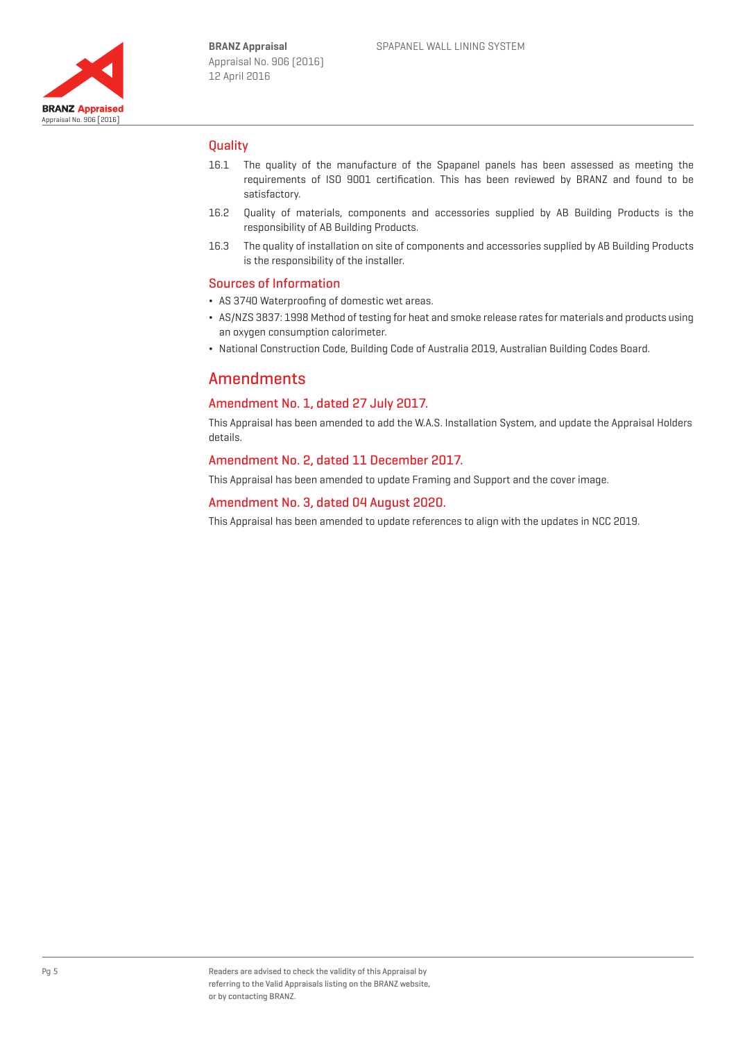

### **Ouality**

- 16.1 The quality of the manufacture of the Spapanel panels has been assessed as meeting the requirements of ISO 9001 certification. This has been reviewed by BRANZ and found to be satisfactory.
- 16.2 Quality of materials, components and accessories supplied by AB Building Products is the responsibility of AB Building Products.
- 16.3 The quality of installation on site of components and accessories supplied by AB Building Products is the responsibility of the installer.

#### Sources of Information

- ¬ AS 3740 Waterproofing of domestic wet areas.
- ¬ AS/NZS 3837: 1998 Method of testing for heat and smoke release rates for materials and products using an oxygen consumption calorimeter.
- ¬ National Construction Code, Building Code of Australia 2019, Australian Building Codes Board.

## Amendments

### Amendment No. 1, dated 27 July 2017.

This Appraisal has been amended to add the W.A.S. Installation System, and update the Appraisal Holders details.

#### Amendment No. 2, dated 11 December 2017.

This Appraisal has been amended to update Framing and Support and the cover image.

#### Amendment No. 3, dated 04 August 2020.

This Appraisal has been amended to update references to align with the updates in NCC 2019.